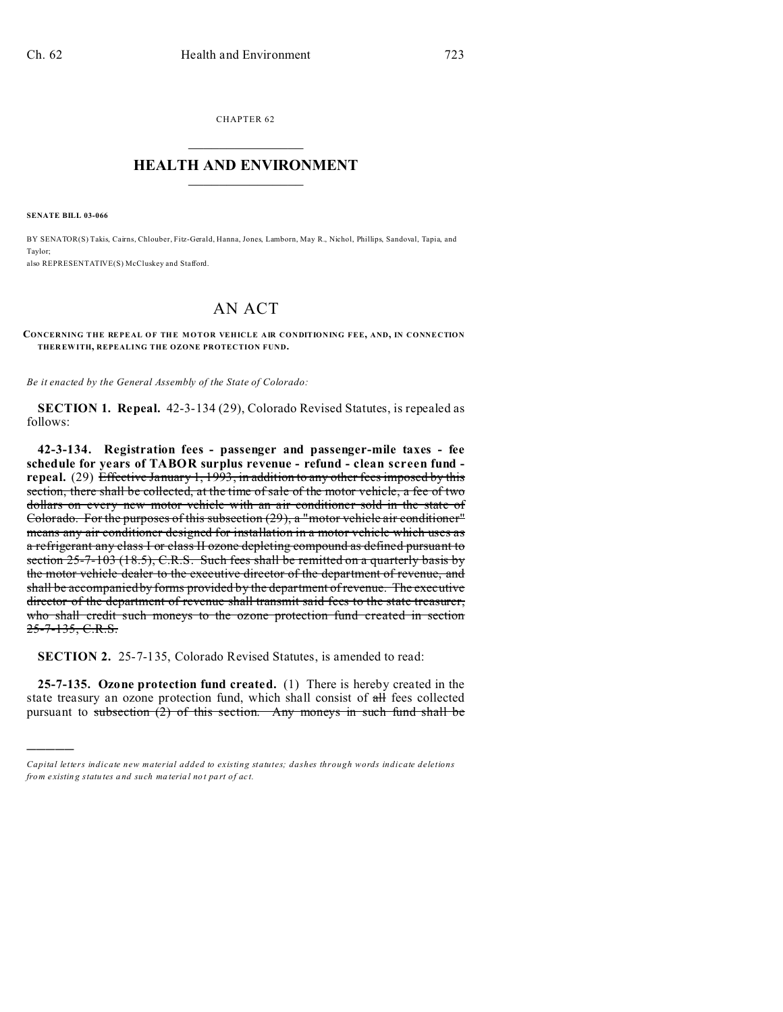CHAPTER 62  $\overline{\phantom{a}}$  , where  $\overline{\phantom{a}}$ 

## **HEALTH AND ENVIRONMENT**  $\_$   $\_$   $\_$   $\_$   $\_$   $\_$   $\_$   $\_$

**SENATE BILL 03-066**

)))))

BY SENATOR(S) Takis, Cairns, Chlouber, Fitz-Gerald, Hanna, Jones, Lamborn, May R., Nichol, Phillips, Sandoval, Tapia, and Taylor;

also REPRESENTATIVE(S) McCluskey and Stafford.

## AN ACT

## **CONCERNING THE REPEAL OF THE MOTOR VEHICLE AIR CONDITIONING FEE, AND, IN CONNECTION THER EWITH, REPEALING THE OZONE PROTECTION FUND.**

*Be it enacted by the General Assembly of the State of Colorado:*

**SECTION 1. Repeal.** 42-3-134 (29), Colorado Revised Statutes, is repealed as follows:

**42-3-134. Registration fees - passenger and passenger-mile taxes - fee schedule for years of TABOR surplus revenue - refund - clean screen fund**  repeal. (29) Effective January 1, 1993, in addition to any other fees imposed by this section, there shall be collected, at the time of sale of the motor vehicle, a fee of two dollars on every new motor vehicle with an air conditioner sold in the state of Colorado. For the purposes of this subsection (29), a "motor vehicle air conditioner" means any air conditioner designed for installation in a motor vehicle which uses as a refrigerant any class I or class II ozone depleting compound as defined pursuant to section 25-7-103 (18.5), C.R.S. Such fees shall be remitted on a quarterly basis by the motor vehicle dealer to the executive director of the department of revenue, and shall be accompanied by forms provided by the department of revenue. The executive director of the department of revenue shall transmit said fees to the state treasurer, who shall credit such moneys to the ozone protection fund created in section 25-7-135, C.R.S.

**SECTION 2.** 25-7-135, Colorado Revised Statutes, is amended to read:

**25-7-135. Ozone protection fund created.** (1) There is hereby created in the state treasury an ozone protection fund, which shall consist of  $\pi$ H fees collected pursuant to subsection  $(2)$  of this section. Any moneys in such fund shall be

*Capital letters indicate new material added to existing statutes; dashes through words indicate deletions from e xistin g statu tes a nd such ma teria l no t pa rt of ac t.*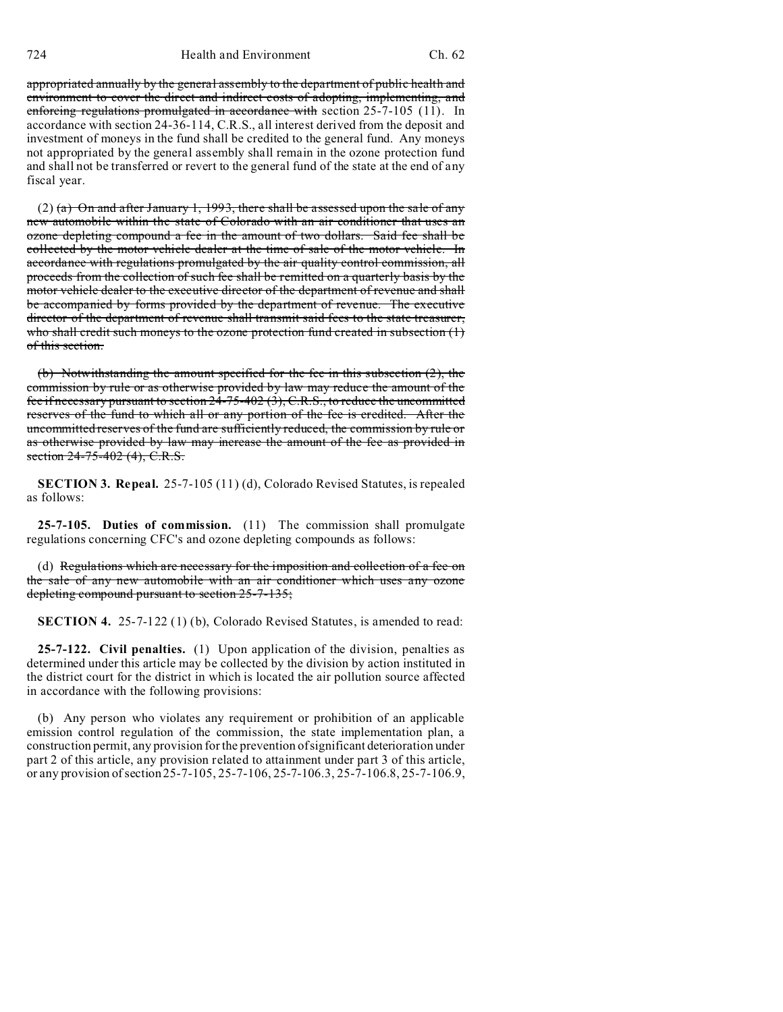appropriated annually by the general assembly to the department of public health and environment to cover the direct and indirect costs of adopting, implementing, and enforcing regulations promulgated in accordance with section 25-7-105 (11). In accordance with section 24-36-114, C.R.S., all interest derived from the deposit and investment of moneys in the fund shall be credited to the general fund. Any moneys not appropriated by the general assembly shall remain in the ozone protection fund and shall not be transferred or revert to the general fund of the state at the end of any fiscal year.

 $(2)$  (a) On and after January 1, 1993, there shall be assessed upon the sale of any new automobile within the state of Colorado with an air conditioner that uses an ozone depleting compound a fee in the amount of two dollars. Said fee shall be collected by the motor vehicle dealer at the time of sale of the motor vehicle. In accordance with regulations promulgated by the air quality control commission, all proceeds from the collection of such fee shall be remitted on a quarterly basis by the motor vehicle dealer to the executive director of the department of revenue and shall be accompanied by forms provided by the department of revenue. The executive director of the department of revenue shall transmit said fees to the state treasurer, who shall credit such moneys to the ozone protection fund created in subsection  $(1)$ of this section.

(b) Notwithstanding the amount specified for the fee in this subsection (2), the commission by rule or as otherwise provided by law may reduce the amount of the fee if necessary pursuant to section 24-75-402 (3), C.R.S., to reduce the uncommitted reserves of the fund to which all or any portion of the fee is credited. After the uncommitted reserves of the fund are sufficiently reduced, the commission by rule or as otherwise provided by law may increase the amount of the fee as provided in section 24-75-402 (4), C.R.S.

**SECTION 3. Repeal.** 25-7-105 (11) (d), Colorado Revised Statutes, is repealed as follows:

**25-7-105. Duties of commission.** (11) The commission shall promulgate regulations concerning CFC's and ozone depleting compounds as follows:

(d) Regulations which are necessary for the imposition and collection of a fee on the sale of any new automobile with an air conditioner which uses any ozone depleting compound pursuant to section 25-7-135;

**SECTION 4.** 25-7-122 (1) (b), Colorado Revised Statutes, is amended to read:

**25-7-122. Civil penalties.** (1) Upon application of the division, penalties as determined under this article may be collected by the division by action instituted in the district court for the district in which is located the air pollution source affected in accordance with the following provisions:

(b) Any person who violates any requirement or prohibition of an applicable emission control regulation of the commission, the state implementation plan, a construction permit, any provision for the prevention of significant deterioration under part 2 of this article, any provision related to attainment under part 3 of this article, or any provision of section 25-7-105, 25-7-106, 25-7-106.3, 25-7-106.8, 25-7-106.9,